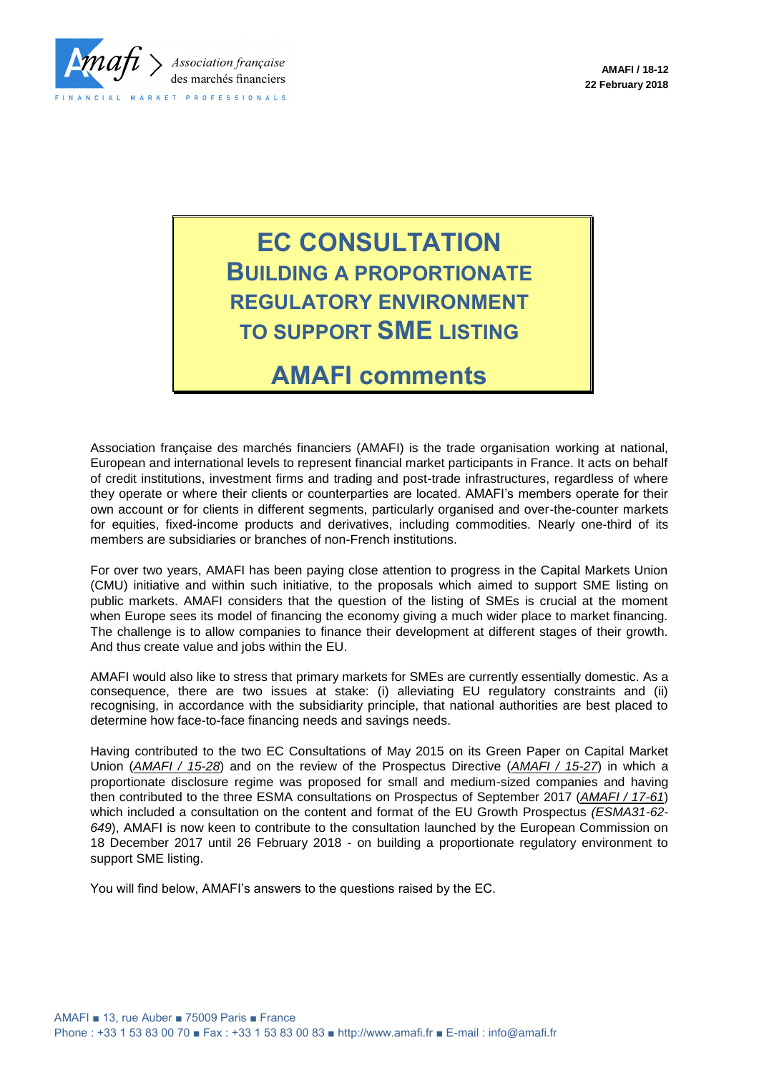

# **EC CONSULTATION BUILDING A PROPORTIONATE REGULATORY ENVIRONMENT TO SUPPORT SME LISTING**

# **AMAFI comments**

Association française des marchés financiers (AMAFI) is the trade organisation working at national, European and international levels to represent financial market participants in France. It acts on behalf of credit institutions, investment firms and trading and post-trade infrastructures, regardless of where they operate or where their clients or counterparties are located. AMAFI's members operate for their own account or for clients in different segments, particularly organised and over-the-counter markets for equities, fixed-income products and derivatives, including commodities. Nearly one-third of its members are subsidiaries or branches of non-French institutions.

For over two years, AMAFI has been paying close attention to progress in the Capital Markets Union (CMU) initiative and within such initiative, to the proposals which aimed to support SME listing on public markets. AMAFI considers that the question of the listing of SMEs is crucial at the moment when Europe sees its model of financing the economy giving a much wider place to market financing. The challenge is to allow companies to finance their development at different stages of their growth. And thus create value and jobs within the EU.

AMAFI would also like to stress that primary markets for SMEs are currently essentially domestic. As a consequence, there are two issues at stake: (i) alleviating EU regulatory constraints and (ii) recognising, in accordance with the subsidiarity principle, that national authorities are best placed to determine how face-to-face financing needs and savings needs.

Having contributed to the two EC Consultations of May 2015 on its Green Paper on Capital Market Union (*AMAFI / 15-28*) and on the review of the Prospectus Directive (*AMAFI / 15-27*) in which a proportionate disclosure regime was proposed for small and medium-sized companies and having then contributed to the three ESMA consultations on Prospectus of September 2017 (*AMAFI / 17-61*) which included a consultation on the content and format of the EU Growth Prospectus *(ESMA31-62- 649*), AMAFI is now keen to contribute to the consultation launched by the European Commission on 18 December 2017 until 26 February 2018 - on building a proportionate regulatory environment to support SME listing.

You will find below, AMAFI's answers to the questions raised by the EC.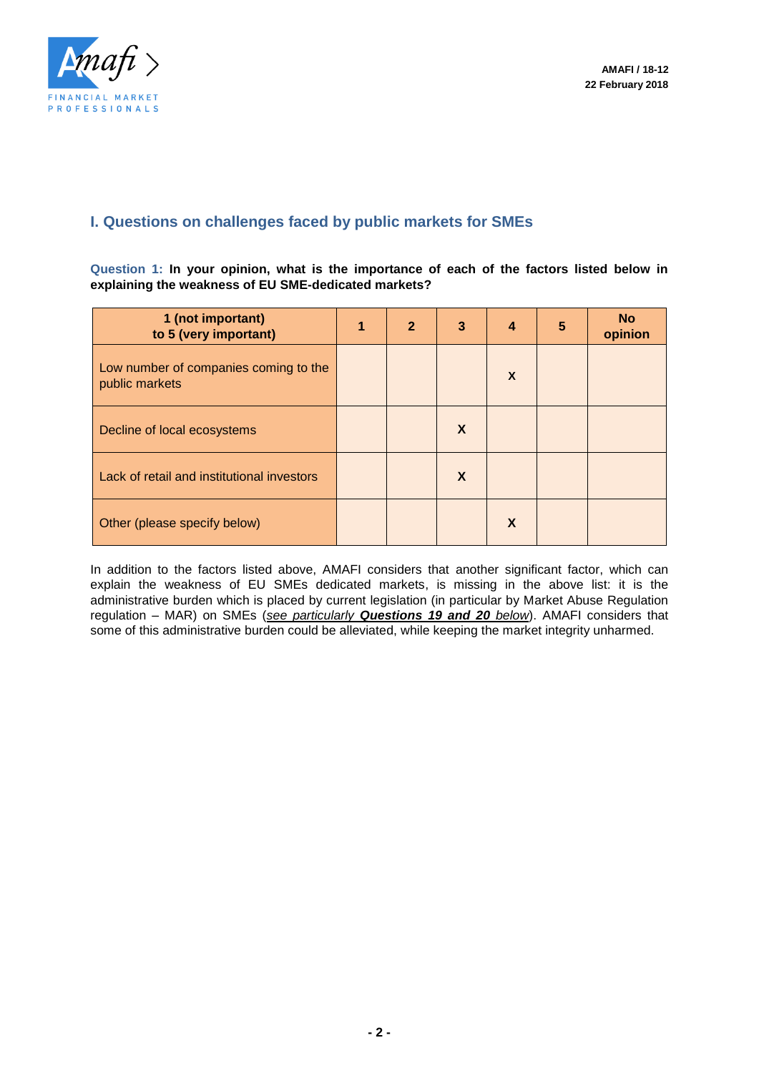

# **I. Questions on challenges faced by public markets for SMEs**

**Question 1: In your opinion, what is the importance of each of the factors listed below in explaining the weakness of EU SME-dedicated markets?**

| 1 (not important)<br>to 5 (very important)              | 1 | $\overline{2}$ | 3 | $\boldsymbol{4}$          | 5 | <b>No</b><br>opinion |
|---------------------------------------------------------|---|----------------|---|---------------------------|---|----------------------|
| Low number of companies coming to the<br>public markets |   |                |   | $\boldsymbol{\mathsf{X}}$ |   |                      |
| Decline of local ecosystems                             |   |                | X |                           |   |                      |
| Lack of retail and institutional investors              |   |                | X |                           |   |                      |
| Other (please specify below)                            |   |                |   | X                         |   |                      |

In addition to the factors listed above, AMAFI considers that another significant factor, which can explain the weakness of EU SMEs dedicated markets, is missing in the above list: it is the administrative burden which is placed by current legislation (in particular by Market Abuse Regulation regulation – MAR) on SMEs (*see particularly Questions 19 and 20 below*). AMAFI considers that some of this administrative burden could be alleviated, while keeping the market integrity unharmed.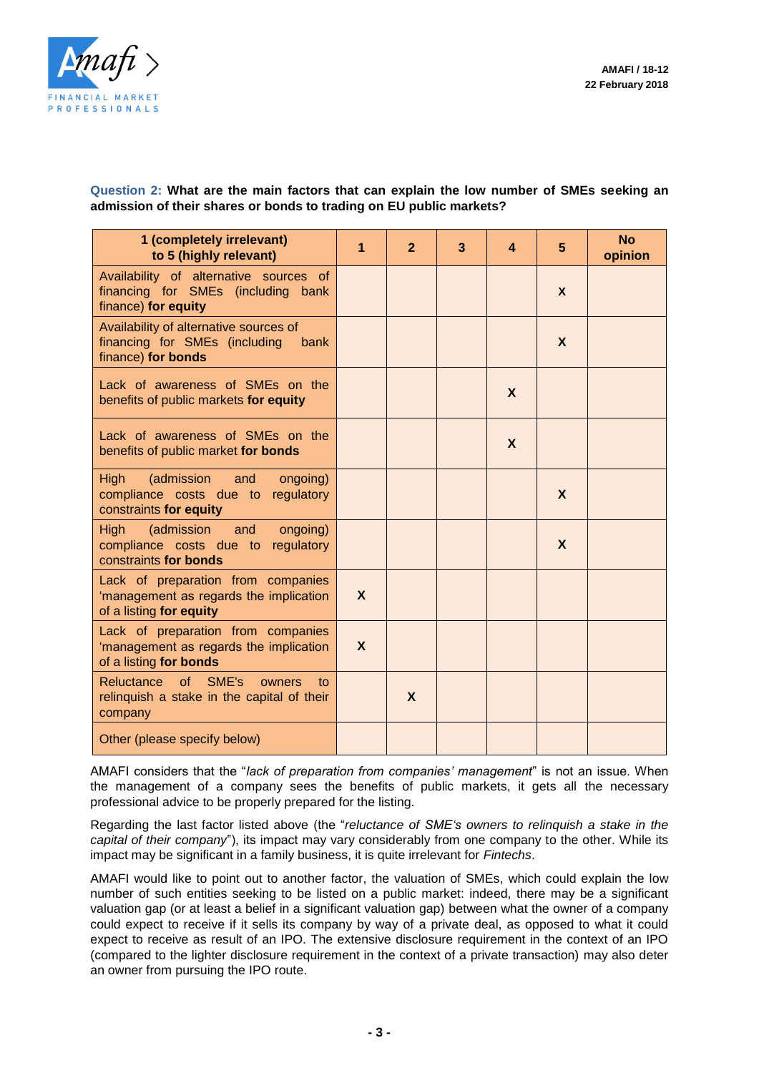

# **Question 2: What are the main factors that can explain the low number of SMEs seeking an admission of their shares or bonds to trading on EU public markets?**

| 1 (completely irrelevant)<br>to 5 (highly relevant)                                                             | 1                | $\overline{2}$ | 3 | 4 | $5\phantom{.0}$ | <b>No</b><br>opinion |
|-----------------------------------------------------------------------------------------------------------------|------------------|----------------|---|---|-----------------|----------------------|
| Availability of alternative sources of<br>financing for SMEs (including bank<br>finance) for equity             |                  |                |   |   | X               |                      |
| Availability of alternative sources of<br>financing for SMEs (including<br>bank<br>finance) for bonds           |                  |                |   |   | X               |                      |
| Lack of awareness of SMEs on the<br>benefits of public markets for equity                                       |                  |                |   | X |                 |                      |
| Lack of awareness of SMEs on the<br>benefits of public market for bonds                                         |                  |                |   | X |                 |                      |
| <b>High</b><br>(admission<br>and<br>ongoing)<br>compliance costs due to<br>regulatory<br>constraints for equity |                  |                |   |   | X               |                      |
| <b>High</b><br>(admission<br>and<br>ongoing)<br>compliance costs due to<br>regulatory<br>constraints for bonds  |                  |                |   |   | X               |                      |
| Lack of preparation from companies<br>'management as regards the implication<br>of a listing for equity         | $\boldsymbol{X}$ |                |   |   |                 |                      |
| Lack of preparation from companies<br>'management as regards the implication<br>of a listing for bonds          | $\mathbf{x}$     |                |   |   |                 |                      |
| <sub>of</sub><br>SME's<br>Reluctance<br>owners<br>to<br>relinquish a stake in the capital of their<br>company   |                  | $\mathbf{x}$   |   |   |                 |                      |
| Other (please specify below)                                                                                    |                  |                |   |   |                 |                      |

AMAFI considers that the "*lack of preparation from companies' management*" is not an issue. When the management of a company sees the benefits of public markets, it gets all the necessary professional advice to be properly prepared for the listing.

Regarding the last factor listed above (the "*reluctance of SME's owners to relinquish a stake in the capital of their company*"), its impact may vary considerably from one company to the other. While its impact may be significant in a family business, it is quite irrelevant for *Fintechs*.

AMAFI would like to point out to another factor, the valuation of SMEs, which could explain the low number of such entities seeking to be listed on a public market: indeed, there may be a significant valuation gap (or at least a belief in a significant valuation gap) between what the owner of a company could expect to receive if it sells its company by way of a private deal, as opposed to what it could expect to receive as result of an IPO. The extensive disclosure requirement in the context of an IPO (compared to the lighter disclosure requirement in the context of a private transaction) may also deter an owner from pursuing the IPO route.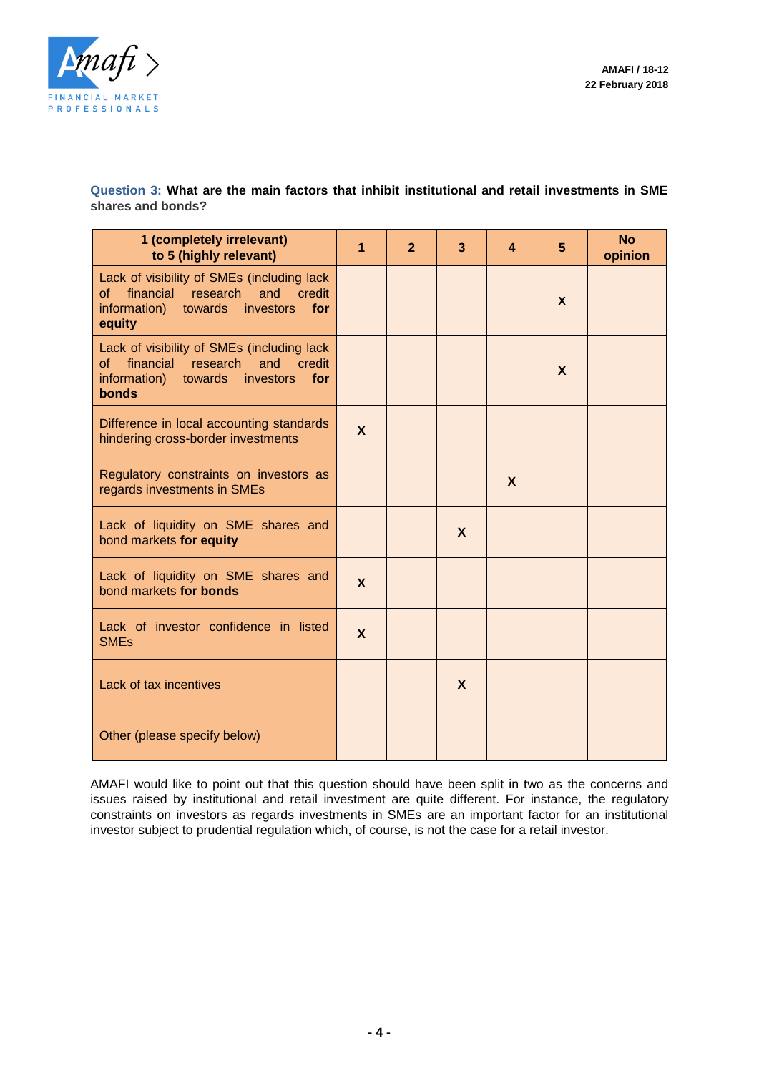

**Question 3: What are the main factors that inhibit institutional and retail investments in SME shares and bonds?**

| 1 (completely irrelevant)<br>to 5 (highly relevant)                                                                                                        | 1                | $\overline{2}$ | 3 | 4            | 5                | <b>No</b><br>opinion |
|------------------------------------------------------------------------------------------------------------------------------------------------------------|------------------|----------------|---|--------------|------------------|----------------------|
| Lack of visibility of SMEs (including lack<br>financial<br>research and<br>credit<br><b>of</b><br>information)<br>towards investors<br>for<br>equity       |                  |                |   |              | X                |                      |
| Lack of visibility of SMEs (including lack<br>financial research and<br><b>of</b><br>credit<br>information)<br>towards<br>for<br>investors<br><b>bonds</b> |                  |                |   |              | $\boldsymbol{X}$ |                      |
| Difference in local accounting standards<br>hindering cross-border investments                                                                             | $\boldsymbol{X}$ |                |   |              |                  |                      |
| Regulatory constraints on investors as<br>regards investments in SMEs                                                                                      |                  |                |   | $\mathbf{x}$ |                  |                      |
| Lack of liquidity on SME shares and<br>bond markets for equity                                                                                             |                  |                | X |              |                  |                      |
| Lack of liquidity on SME shares and<br>bond markets for bonds                                                                                              | X                |                |   |              |                  |                      |
| Lack of investor confidence in listed<br><b>SME<sub>s</sub></b>                                                                                            | $\mathsf{x}$     |                |   |              |                  |                      |
| Lack of tax incentives                                                                                                                                     |                  |                | X |              |                  |                      |
| Other (please specify below)                                                                                                                               |                  |                |   |              |                  |                      |

AMAFI would like to point out that this question should have been split in two as the concerns and issues raised by institutional and retail investment are quite different. For instance, the regulatory constraints on investors as regards investments in SMEs are an important factor for an institutional investor subject to prudential regulation which, of course, is not the case for a retail investor.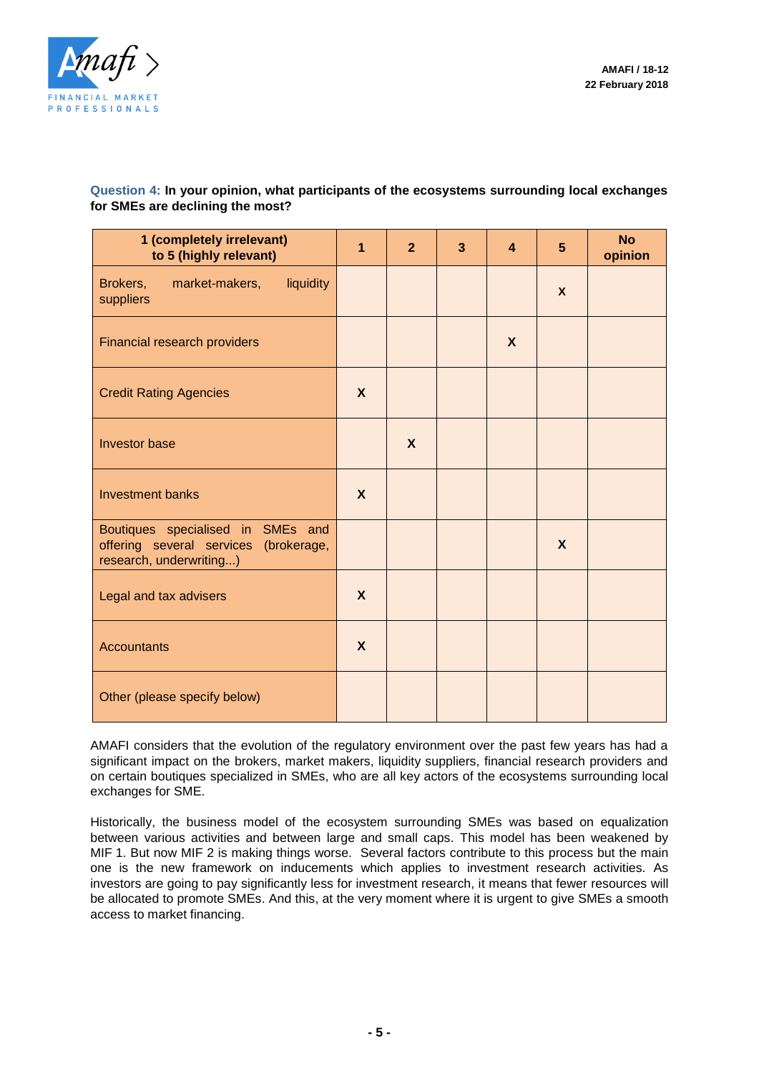

# **Question 4: In your opinion, what participants of the ecosystems surrounding local exchanges for SMEs are declining the most?**

| 1 (completely irrelevant)<br>to 5 (highly relevant)                                                   | 1                | $\overline{2}$   | 3 | $\overline{\mathbf{4}}$ | $5\phantom{.}$   | <b>No</b><br>opinion |
|-------------------------------------------------------------------------------------------------------|------------------|------------------|---|-------------------------|------------------|----------------------|
| market-makers,<br>liquidity<br>Brokers,<br>suppliers                                                  |                  |                  |   |                         | X                |                      |
| Financial research providers                                                                          |                  |                  |   | $\boldsymbol{X}$        |                  |                      |
| <b>Credit Rating Agencies</b>                                                                         | $\boldsymbol{X}$ |                  |   |                         |                  |                      |
| <b>Investor base</b>                                                                                  |                  | $\boldsymbol{X}$ |   |                         |                  |                      |
| <b>Investment banks</b>                                                                               | $\boldsymbol{X}$ |                  |   |                         |                  |                      |
| Boutiques specialised in SMEs and<br>offering several services (brokerage,<br>research, underwriting) |                  |                  |   |                         | $\boldsymbol{X}$ |                      |
| Legal and tax advisers                                                                                | $\boldsymbol{X}$ |                  |   |                         |                  |                      |
| <b>Accountants</b>                                                                                    | $\boldsymbol{X}$ |                  |   |                         |                  |                      |
| Other (please specify below)                                                                          |                  |                  |   |                         |                  |                      |

AMAFI considers that the evolution of the regulatory environment over the past few years has had a significant impact on the brokers, market makers, liquidity suppliers, financial research providers and on certain boutiques specialized in SMEs, who are all key actors of the ecosystems surrounding local exchanges for SME.

Historically, the business model of the ecosystem surrounding SMEs was based on equalization between various activities and between large and small caps. This model has been weakened by MIF 1. But now MIF 2 is making things worse. Several factors contribute to this process but the main one is the new framework on inducements which applies to investment research activities. As investors are going to pay significantly less for investment research, it means that fewer resources will be allocated to promote SMEs. And this, at the very moment where it is urgent to give SMEs a smooth access to market financing.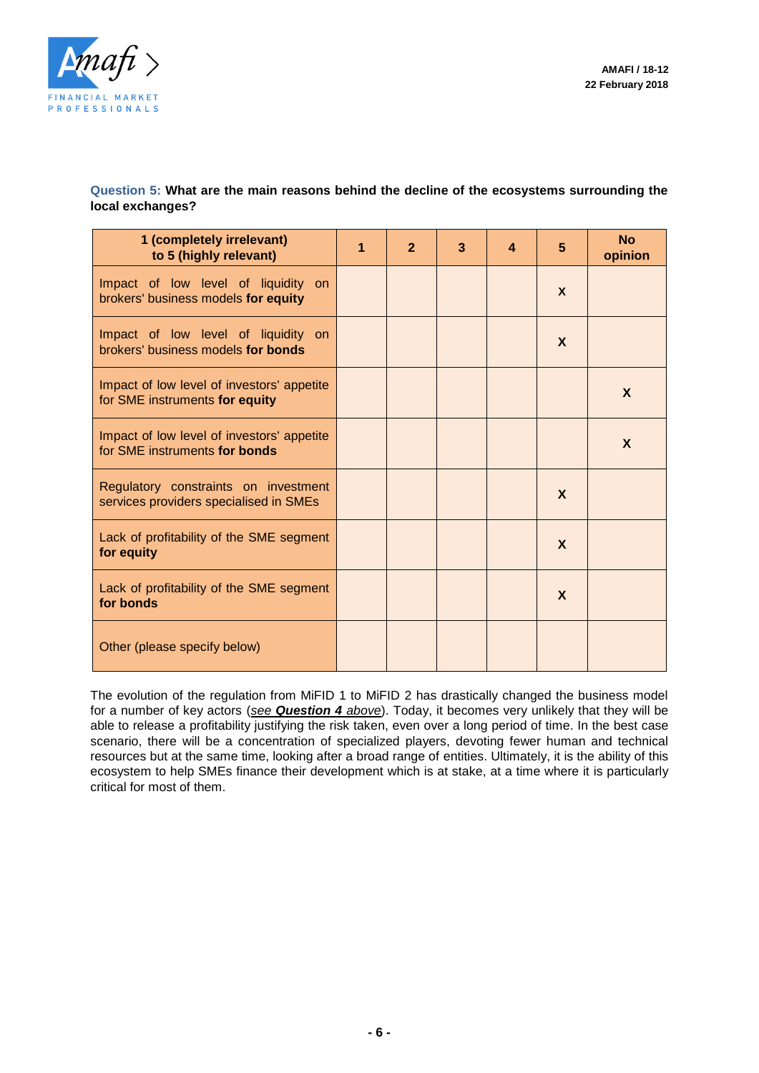

# **Question 5: What are the main reasons behind the decline of the ecosystems surrounding the local exchanges?**

| 1 (completely irrelevant)<br>to 5 (highly relevant)                            | 1 | $\overline{2}$ | 3 | 4 | 5            | <b>No</b><br>opinion |
|--------------------------------------------------------------------------------|---|----------------|---|---|--------------|----------------------|
| Impact of low level of liquidity on<br>brokers' business models for equity     |   |                |   |   | X            |                      |
| Impact of low level of liquidity on<br>brokers' business models for bonds      |   |                |   |   | $\mathbf x$  |                      |
| Impact of low level of investors' appetite<br>for SME instruments for equity   |   |                |   |   |              | X                    |
| Impact of low level of investors' appetite<br>for SME instruments for bonds    |   |                |   |   |              | $\mathbf{x}$         |
| Regulatory constraints on investment<br>services providers specialised in SMEs |   |                |   |   | $\mathbf{x}$ |                      |
| Lack of profitability of the SME segment<br>for equity                         |   |                |   |   | X            |                      |
| Lack of profitability of the SME segment<br>for bonds                          |   |                |   |   | $\mathbf{x}$ |                      |
| Other (please specify below)                                                   |   |                |   |   |              |                      |

The evolution of the regulation from MiFID 1 to MiFID 2 has drastically changed the business model for a number of key actors (*see Question 4 above*). Today, it becomes very unlikely that they will be able to release a profitability justifying the risk taken, even over a long period of time. In the best case scenario, there will be a concentration of specialized players, devoting fewer human and technical resources but at the same time, looking after a broad range of entities. Ultimately, it is the ability of this ecosystem to help SMEs finance their development which is at stake, at a time where it is particularly critical for most of them.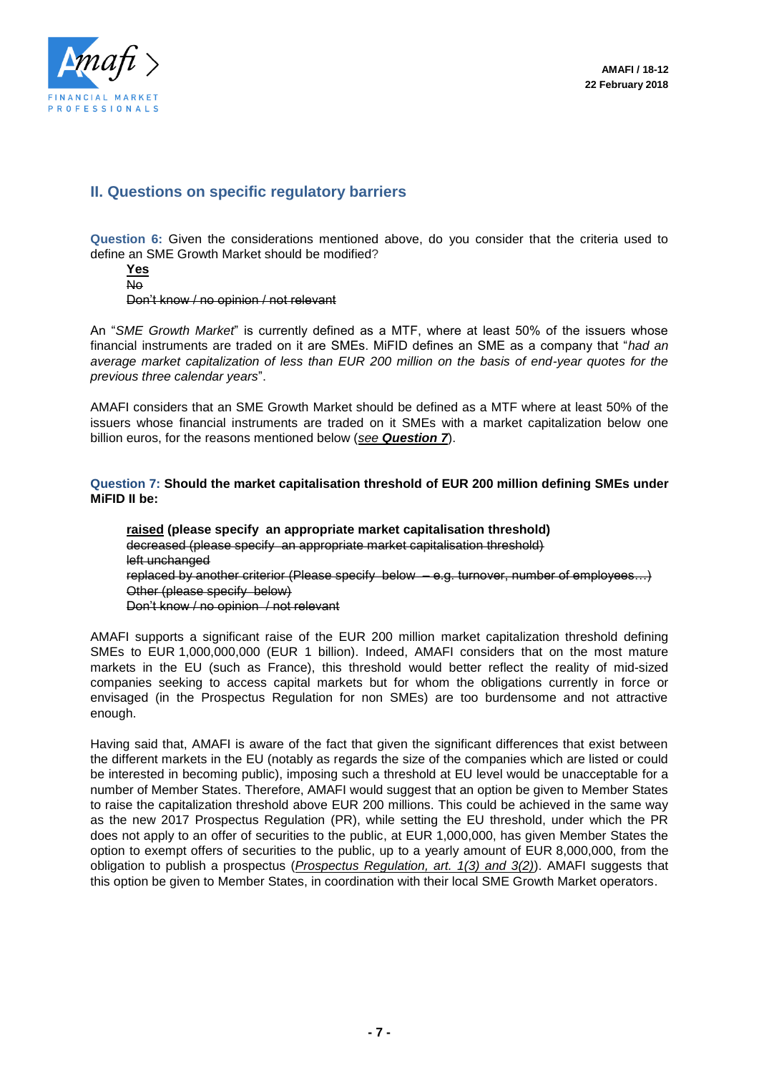

# **II. Questions on specific regulatory barriers**

**Question 6:** Given the considerations mentioned above, do you consider that the criteria used to define an SME Growth Market should be modified?

| <b>Yes</b>                             |  |
|----------------------------------------|--|
| <b>No</b>                              |  |
| Don't know / no opinion / not relevant |  |

An "*SME Growth Market*" is currently defined as a MTF, where at least 50% of the issuers whose financial instruments are traded on it are SMEs. MiFID defines an SME as a company that "*had an average market capitalization of less than EUR 200 million on the basis of end-year quotes for the previous three calendar years*".

AMAFI considers that an SME Growth Market should be defined as a MTF where at least 50% of the issuers whose financial instruments are traded on it SMEs with a market capitalization below one billion euros, for the reasons mentioned below (*see Question 7*).

**Question 7: Should the market capitalisation threshold of EUR 200 million defining SMEs under MiFID II be:**

**raised (please specify an appropriate market capitalisation threshold)** decreased (please specify an appropriate market capitalisation threshold) left unchanged replaced by another criterior (Please specify below – e.g. turnover, number of employees...) Other (please specify below) Don't know / no opinion / not relevant

AMAFI supports a significant raise of the EUR 200 million market capitalization threshold defining SMEs to EUR 1,000,000,000 (EUR 1 billion). Indeed, AMAFI considers that on the most mature markets in the EU (such as France), this threshold would better reflect the reality of mid-sized companies seeking to access capital markets but for whom the obligations currently in force or envisaged (in the Prospectus Regulation for non SMEs) are too burdensome and not attractive enough.

Having said that, AMAFI is aware of the fact that given the significant differences that exist between the different markets in the EU (notably as regards the size of the companies which are listed or could be interested in becoming public), imposing such a threshold at EU level would be unacceptable for a number of Member States. Therefore, AMAFI would suggest that an option be given to Member States to raise the capitalization threshold above EUR 200 millions. This could be achieved in the same way as the new 2017 Prospectus Regulation (PR), while setting the EU threshold, under which the PR does not apply to an offer of securities to the public, at EUR 1,000,000, has given Member States the option to exempt offers of securities to the public, up to a yearly amount of EUR 8,000,000, from the obligation to publish a prospectus (*Prospectus Regulation, art. 1(3) and 3(2)*). AMAFI suggests that this option be given to Member States, in coordination with their local SME Growth Market operators.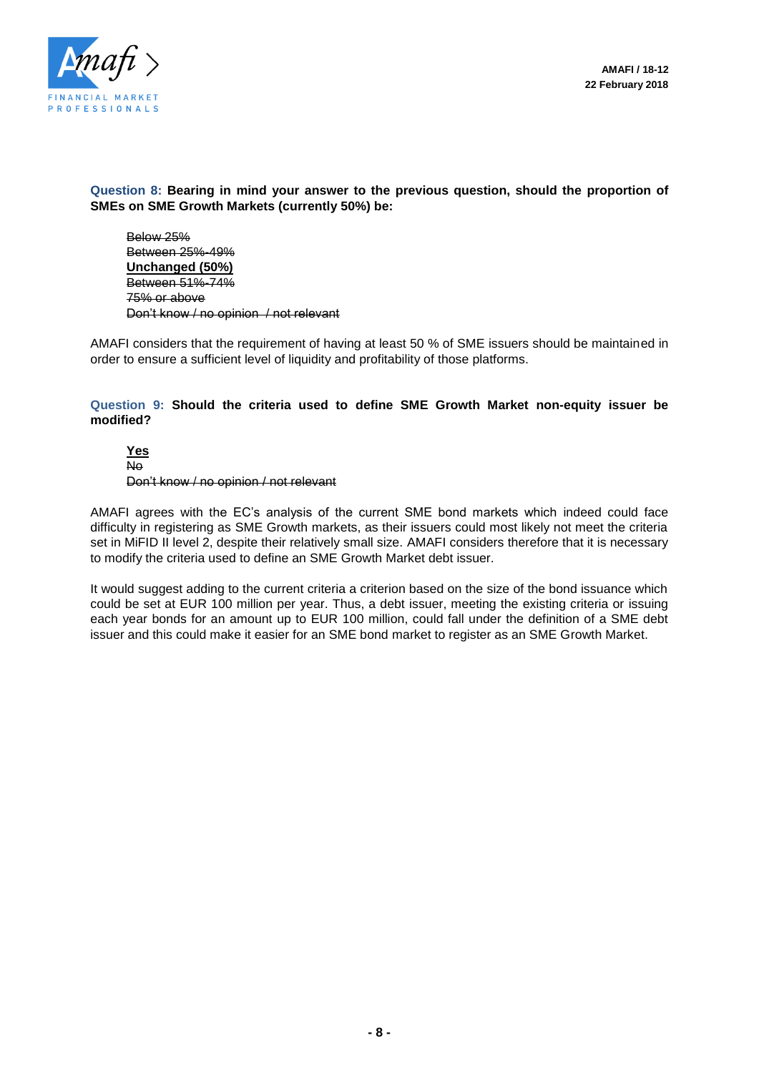

# **Question 8: Bearing in mind your answer to the previous question, should the proportion of SMEs on SME Growth Markets (currently 50%) be:**

Below 25% Between 25%-49% **Unchanged (50%)**  Between 51%-74% 75% or above Don't know / no opinion / not relevant

AMAFI considers that the requirement of having at least 50 % of SME issuers should be maintained in order to ensure a sufficient level of liquidity and profitability of those platforms.

#### **Question 9: Should the criteria used to define SME Growth Market non-equity issuer be modified?**

**Yes** No Don't know / no opinion / not relevant

AMAFI agrees with the EC's analysis of the current SME bond markets which indeed could face difficulty in registering as SME Growth markets, as their issuers could most likely not meet the criteria set in MiFID II level 2, despite their relatively small size. AMAFI considers therefore that it is necessary to modify the criteria used to define an SME Growth Market debt issuer.

It would suggest adding to the current criteria a criterion based on the size of the bond issuance which could be set at EUR 100 million per year. Thus, a debt issuer, meeting the existing criteria or issuing each year bonds for an amount up to EUR 100 million, could fall under the definition of a SME debt issuer and this could make it easier for an SME bond market to register as an SME Growth Market.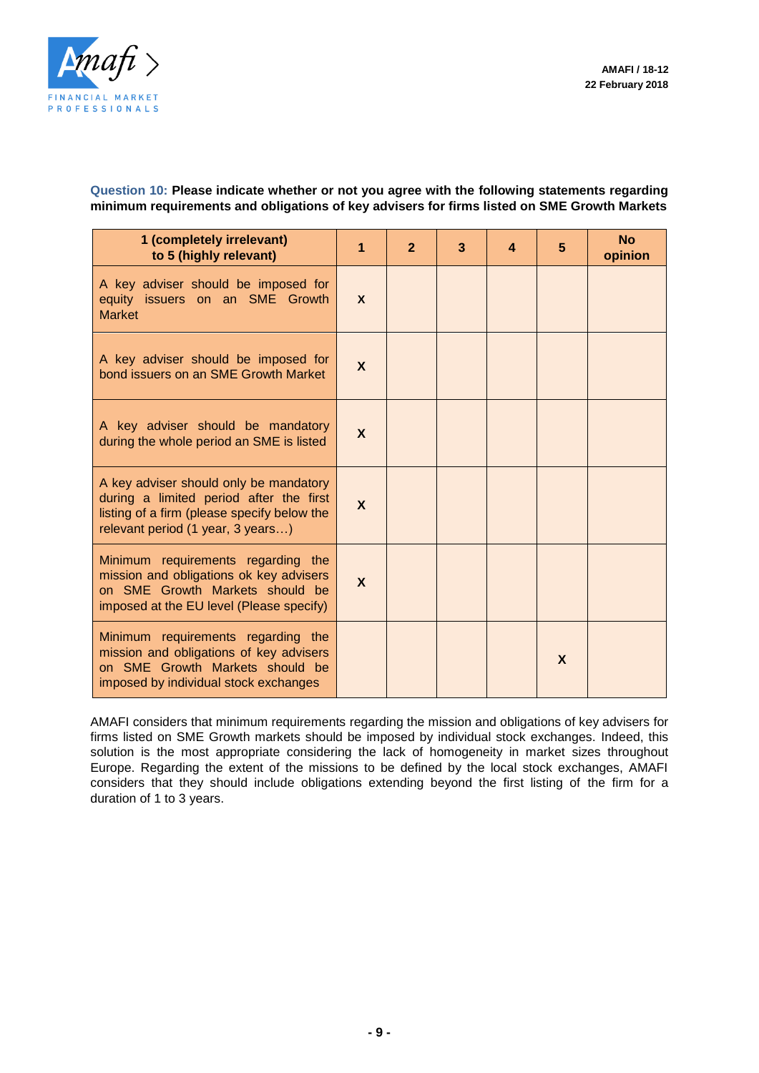

# **Question 10: Please indicate whether or not you agree with the following statements regarding minimum requirements and obligations of key advisers for firms listed on SME Growth Markets**

| 1 (completely irrelevant)<br>to 5 (highly relevant)                                                                                                                   | 1                         | $\overline{2}$ | 3 | 4 | 5 | <b>No</b><br>opinion |
|-----------------------------------------------------------------------------------------------------------------------------------------------------------------------|---------------------------|----------------|---|---|---|----------------------|
| A key adviser should be imposed for<br>equity issuers on an SME Growth<br><b>Market</b>                                                                               | $\mathbf{x}$              |                |   |   |   |                      |
| A key adviser should be imposed for<br>bond issuers on an SME Growth Market                                                                                           | $\boldsymbol{\mathsf{X}}$ |                |   |   |   |                      |
| A key adviser should be mandatory<br>during the whole period an SME is listed                                                                                         | $\mathbf{x}$              |                |   |   |   |                      |
| A key adviser should only be mandatory<br>during a limited period after the first<br>listing of a firm (please specify below the<br>relevant period (1 year, 3 years) | X                         |                |   |   |   |                      |
| Minimum requirements regarding the<br>mission and obligations ok key advisers<br>on SME Growth Markets should be<br>imposed at the EU level (Please specify)          | $\boldsymbol{\mathsf{X}}$ |                |   |   |   |                      |
| Minimum requirements regarding the<br>mission and obligations of key advisers<br>on SME Growth Markets should be<br>imposed by individual stock exchanges             |                           |                |   |   | X |                      |

AMAFI considers that minimum requirements regarding the mission and obligations of key advisers for firms listed on SME Growth markets should be imposed by individual stock exchanges. Indeed, this solution is the most appropriate considering the lack of homogeneity in market sizes throughout Europe. Regarding the extent of the missions to be defined by the local stock exchanges, AMAFI considers that they should include obligations extending beyond the first listing of the firm for a duration of 1 to 3 years.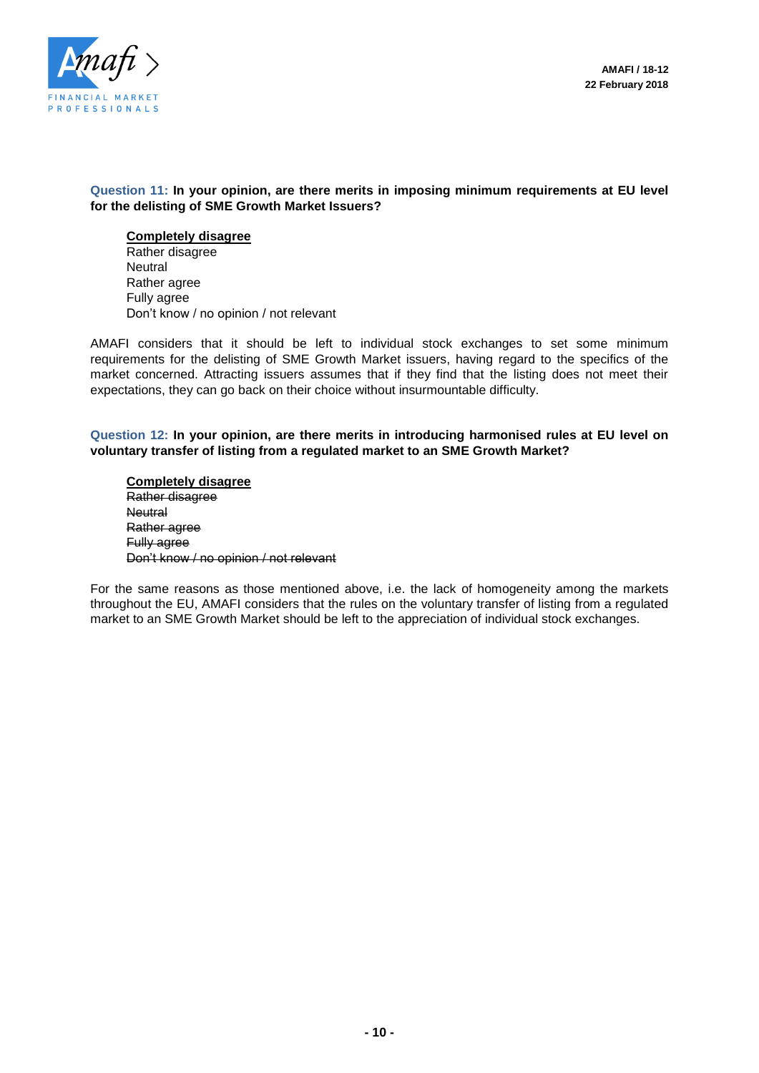

# **Question 11: In your opinion, are there merits in imposing minimum requirements at EU level for the delisting of SME Growth Market Issuers?**

#### **Completely disagree**

Rather disagree **Neutral** Rather agree Fully agree Don't know / no opinion / not relevant

AMAFI considers that it should be left to individual stock exchanges to set some minimum requirements for the delisting of SME Growth Market issuers, having regard to the specifics of the market concerned. Attracting issuers assumes that if they find that the listing does not meet their expectations, they can go back on their choice without insurmountable difficulty.

**Question 12: In your opinion, are there merits in introducing harmonised rules at EU level on voluntary transfer of listing from a regulated market to an SME Growth Market?**

**Completely disagree** Rather disagree **Neutral** Rather agree Fully agree Don't know / no opinion / not relevant

For the same reasons as those mentioned above, i.e. the lack of homogeneity among the markets throughout the EU, AMAFI considers that the rules on the voluntary transfer of listing from a regulated market to an SME Growth Market should be left to the appreciation of individual stock exchanges.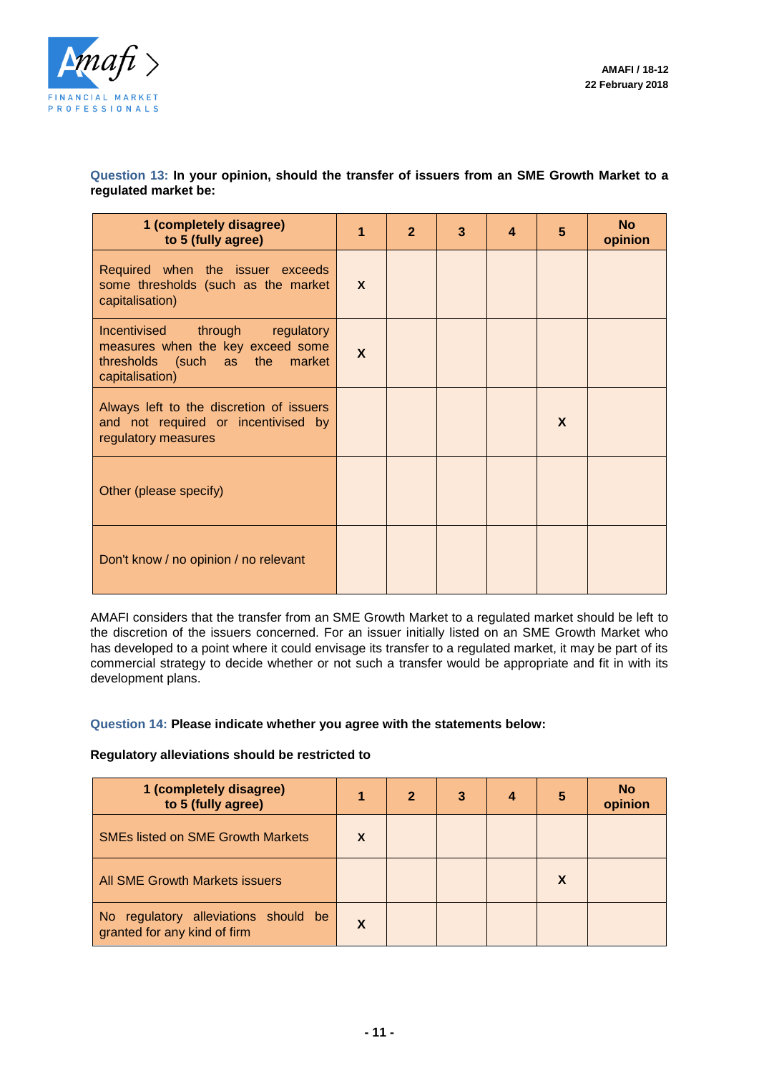

# **Question 13: In your opinion, should the transfer of issuers from an SME Growth Market to a regulated market be:**

| 1 (completely disagree)<br>to 5 (fully agree)                                                                                   | 1                | $\mathbf{2}$ | 3 | 4 | 5            | <b>No</b><br>opinion |
|---------------------------------------------------------------------------------------------------------------------------------|------------------|--------------|---|---|--------------|----------------------|
| Required when the issuer exceeds<br>some thresholds (such as the market<br>capitalisation)                                      | $\boldsymbol{x}$ |              |   |   |              |                      |
| through regulatory<br>Incentivised<br>measures when the key exceed some<br>thresholds (such as the<br>market<br>capitalisation) | $\mathbf{x}$     |              |   |   |              |                      |
| Always left to the discretion of issuers<br>and not required or incentivised by<br>regulatory measures                          |                  |              |   |   | $\mathbf{x}$ |                      |
| Other (please specify)                                                                                                          |                  |              |   |   |              |                      |
| Don't know / no opinion / no relevant                                                                                           |                  |              |   |   |              |                      |

AMAFI considers that the transfer from an SME Growth Market to a regulated market should be left to the discretion of the issuers concerned. For an issuer initially listed on an SME Growth Market who has developed to a point where it could envisage its transfer to a regulated market, it may be part of its commercial strategy to decide whether or not such a transfer would be appropriate and fit in with its development plans.

### **Question 14: Please indicate whether you agree with the statements below:**

### **Regulatory alleviations should be restricted to**

| 1 (completely disagree)<br>to 5 (fully agree)                                       |   | $\mathbf{2}$ | 3 | 4 | 5 | <b>No</b><br>opinion |
|-------------------------------------------------------------------------------------|---|--------------|---|---|---|----------------------|
| <b>SMEs listed on SME Growth Markets</b>                                            | X |              |   |   |   |                      |
| All SME Growth Markets issuers                                                      |   |              |   |   |   |                      |
| regulatory alleviations should be<br>N <sub>o</sub><br>granted for any kind of firm | X |              |   |   |   |                      |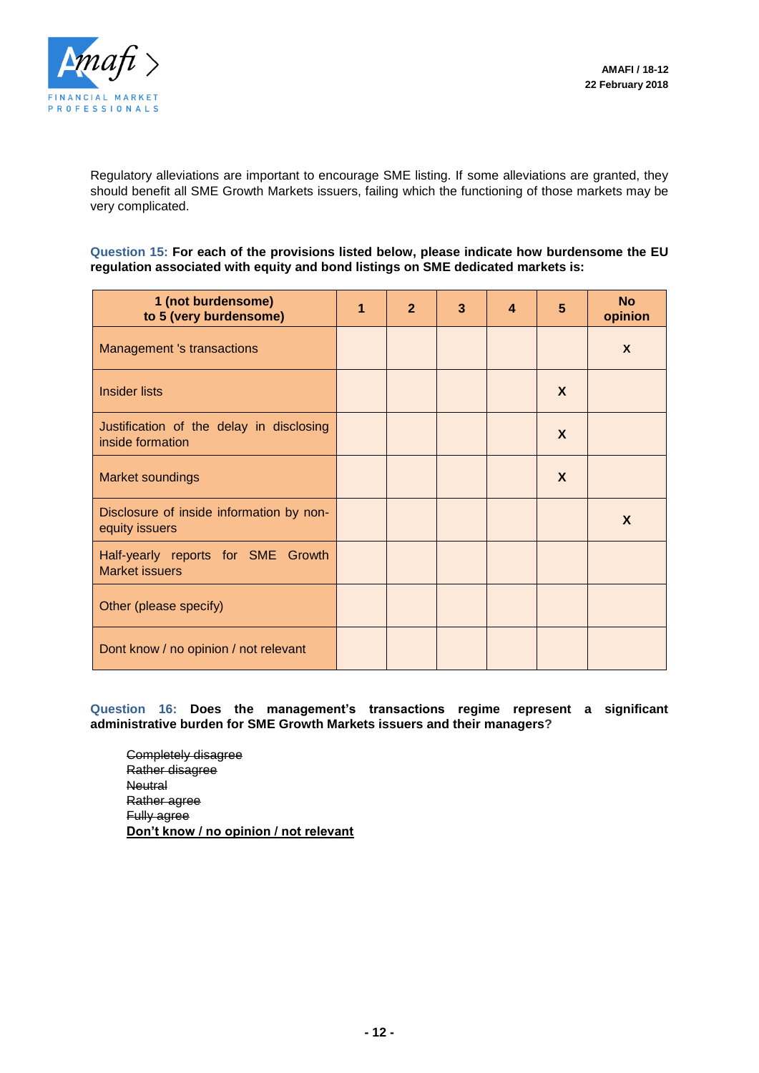

Regulatory alleviations are important to encourage SME listing. If some alleviations are granted, they should benefit all SME Growth Markets issuers, failing which the functioning of those markets may be very complicated.

#### **Question 15: For each of the provisions listed below, please indicate how burdensome the EU regulation associated with equity and bond listings on SME dedicated markets is:**

| 1 (not burdensome)<br>to 5 (very burdensome)                 | 1 | $\overline{2}$ | 3 | 4 | 5 | <b>No</b><br>opinion |
|--------------------------------------------------------------|---|----------------|---|---|---|----------------------|
| Management 's transactions                                   |   |                |   |   |   | X                    |
| <b>Insider lists</b>                                         |   |                |   |   | X |                      |
| Justification of the delay in disclosing<br>inside formation |   |                |   |   | X |                      |
| <b>Market soundings</b>                                      |   |                |   |   | X |                      |
| Disclosure of inside information by non-<br>equity issuers   |   |                |   |   |   | X                    |
| Half-yearly reports for SME Growth<br><b>Market issuers</b>  |   |                |   |   |   |                      |
| Other (please specify)                                       |   |                |   |   |   |                      |
| Dont know / no opinion / not relevant                        |   |                |   |   |   |                      |

**Question 16: Does the management's transactions regime represent a significant administrative burden for SME Growth Markets issuers and their managers?**

Completely disagree Rather disagree **Neutral** Rather agree Fully agree **Don't know / no opinion / not relevant**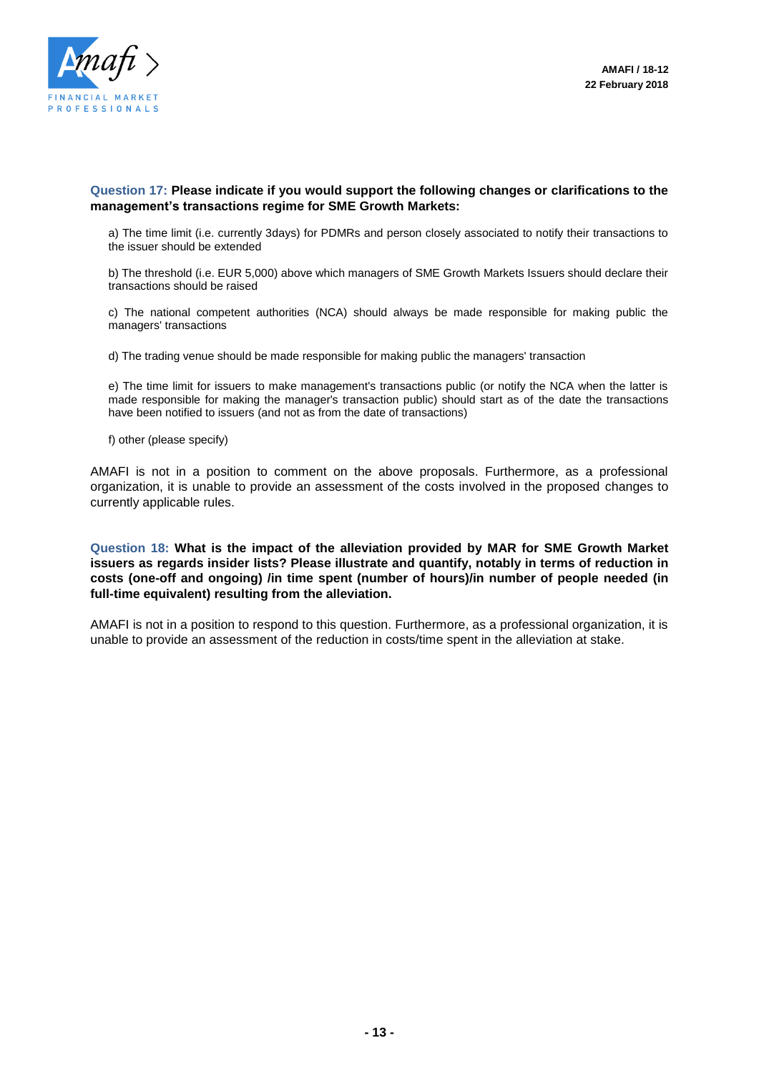

#### **Question 17: Please indicate if you would support the following changes or clarifications to the management's transactions regime for SME Growth Markets:**

a) The time limit (i.e. currently 3days) for PDMRs and person closely associated to notify their transactions to the issuer should be extended

b) The threshold (i.e. EUR 5,000) above which managers of SME Growth Markets Issuers should declare their transactions should be raised

c) The national competent authorities (NCA) should always be made responsible for making public the managers' transactions

d) The trading venue should be made responsible for making public the managers' transaction

e) The time limit for issuers to make management's transactions public (or notify the NCA when the latter is made responsible for making the manager's transaction public) should start as of the date the transactions have been notified to issuers (and not as from the date of transactions)

f) other (please specify)

AMAFI is not in a position to comment on the above proposals. Furthermore, as a professional organization, it is unable to provide an assessment of the costs involved in the proposed changes to currently applicable rules.

**Question 18: What is the impact of the alleviation provided by MAR for SME Growth Market issuers as regards insider lists? Please illustrate and quantify, notably in terms of reduction in costs (one-off and ongoing) /in time spent (number of hours)/in number of people needed (in full-time equivalent) resulting from the alleviation.**

AMAFI is not in a position to respond to this question. Furthermore, as a professional organization, it is unable to provide an assessment of the reduction in costs/time spent in the alleviation at stake.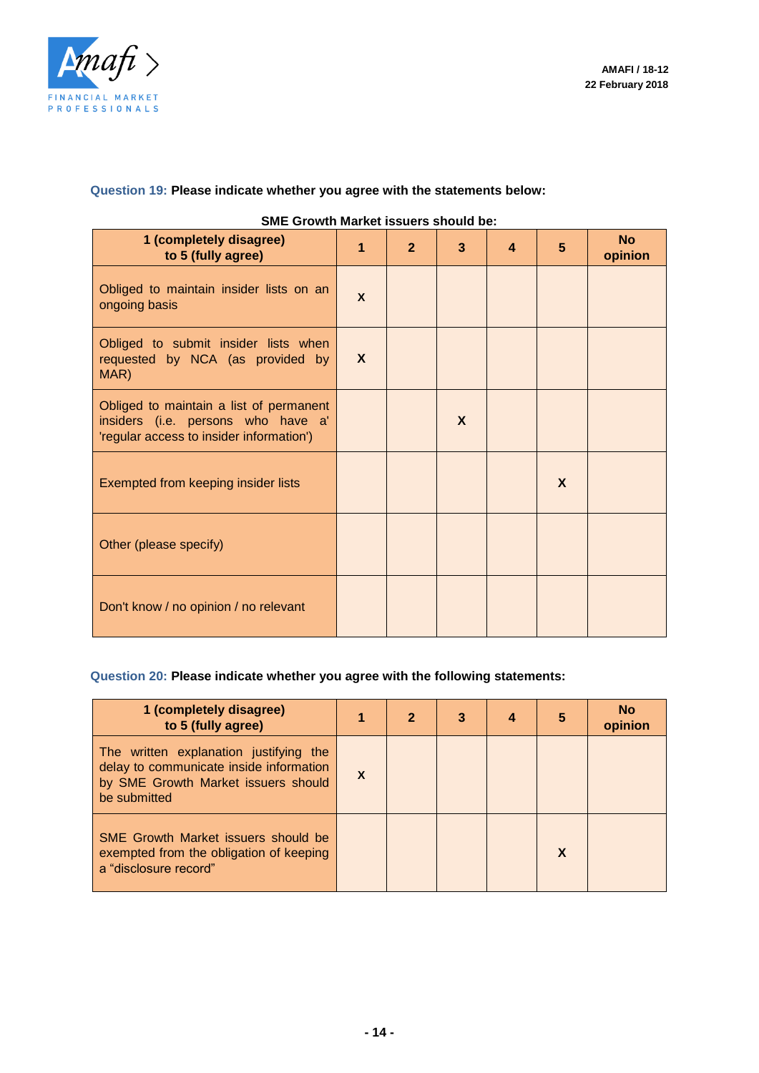

# **Question 19: Please indicate whether you agree with the statements below:**

|                                                                                                                           |                  |                |   |                         |                 | SME Growth Market ISSUERS Should be: |  |  |  |  |  |  |  |  |
|---------------------------------------------------------------------------------------------------------------------------|------------------|----------------|---|-------------------------|-----------------|--------------------------------------|--|--|--|--|--|--|--|--|
| 1 (completely disagree)<br>to 5 (fully agree)                                                                             | 1                | $\overline{2}$ | 3 | $\overline{\mathbf{4}}$ | $5\phantom{.0}$ | <b>No</b><br>opinion                 |  |  |  |  |  |  |  |  |
| Obliged to maintain insider lists on an<br>ongoing basis                                                                  | $\mathbf{x}$     |                |   |                         |                 |                                      |  |  |  |  |  |  |  |  |
| Obliged to submit insider lists when<br>requested by NCA (as provided by<br>MAR)                                          | $\boldsymbol{X}$ |                |   |                         |                 |                                      |  |  |  |  |  |  |  |  |
| Obliged to maintain a list of permanent<br>insiders (i.e. persons who have a'<br>'regular access to insider information') |                  |                | X |                         |                 |                                      |  |  |  |  |  |  |  |  |
| Exempted from keeping insider lists                                                                                       |                  |                |   |                         | $\mathbf{x}$    |                                      |  |  |  |  |  |  |  |  |
| Other (please specify)                                                                                                    |                  |                |   |                         |                 |                                      |  |  |  |  |  |  |  |  |
| Don't know / no opinion / no relevant                                                                                     |                  |                |   |                         |                 |                                      |  |  |  |  |  |  |  |  |

# **SME Growth Market issuers should be:**

# **Question 20: Please indicate whether you agree with the following statements:**

| 1 (completely disagree)<br>to 5 (fully agree)                                                                                            |              | $\mathbf{2}$ | 3 | 4 | 5 | <b>No</b><br>opinion |
|------------------------------------------------------------------------------------------------------------------------------------------|--------------|--------------|---|---|---|----------------------|
| The written explanation justifying the<br>delay to communicate inside information<br>by SME Growth Market issuers should<br>be submitted | $\mathbf{x}$ |              |   |   |   |                      |
| SME Growth Market issuers should be<br>exempted from the obligation of keeping<br>a "disclosure record"                                  |              |              |   |   | X |                      |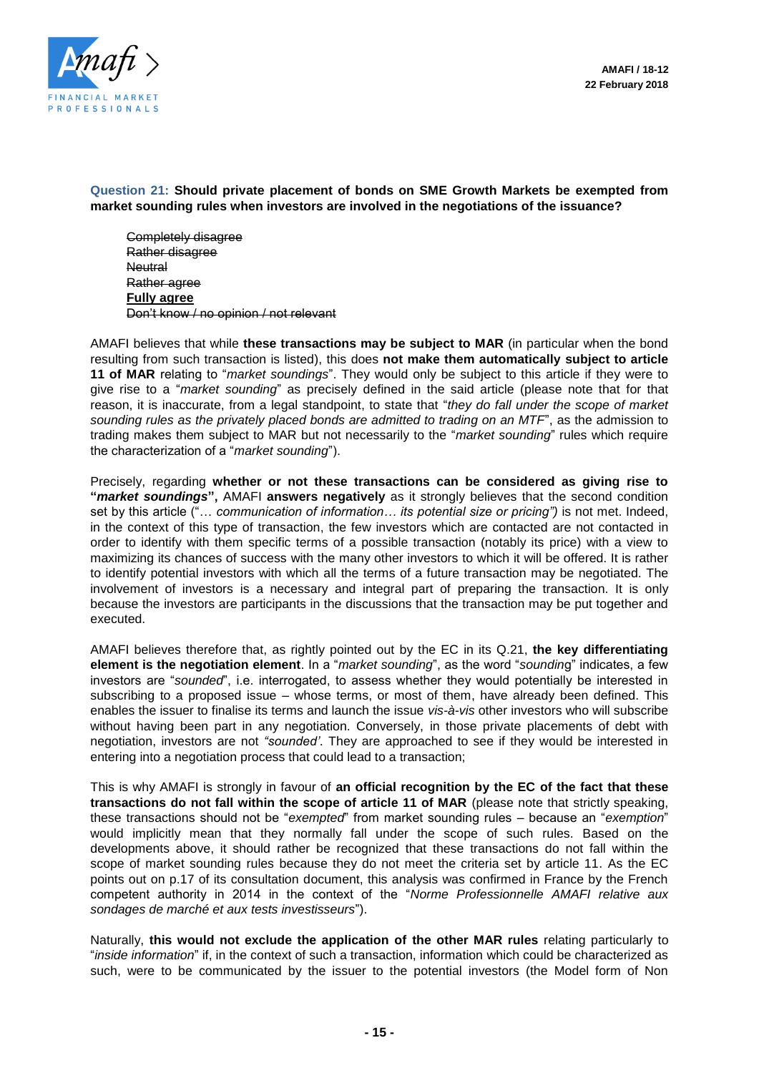

# **Question 21: Should private placement of bonds on SME Growth Markets be exempted from market sounding rules when investors are involved in the negotiations of the issuance?**

Completely disagree Rather disagree **Neutral** Rather agree **Fully agree** Don't know / no opinion / not relevant

AMAFI believes that while **these transactions may be subject to MAR** (in particular when the bond resulting from such transaction is listed), this does **not make them automatically subject to article 11 of MAR** relating to "*market soundings*". They would only be subject to this article if they were to give rise to a "*market sounding*" as precisely defined in the said article (please note that for that reason, it is inaccurate, from a legal standpoint, to state that "*they do fall under the scope of market sounding rules as the privately placed bonds are admitted to trading on an MTF*", as the admission to trading makes them subject to MAR but not necessarily to the "*market sounding*" rules which require the characterization of a "*market sounding*").

Precisely, regarding **whether or not these transactions can be considered as giving rise to "***market soundings***",** AMAFI **answers negatively** as it strongly believes that the second condition set by this article ("… *communication of information… its potential size or pricing")* is not met. Indeed, in the context of this type of transaction, the few investors which are contacted are not contacted in order to identify with them specific terms of a possible transaction (notably its price) with a view to maximizing its chances of success with the many other investors to which it will be offered. It is rather to identify potential investors with which all the terms of a future transaction may be negotiated. The involvement of investors is a necessary and integral part of preparing the transaction. It is only because the investors are participants in the discussions that the transaction may be put together and executed.

AMAFI believes therefore that, as rightly pointed out by the EC in its Q.21, **the key differentiating element is the negotiation element**. In a "*market sounding*", as the word "*soundin*g" indicates, a few investors are "*sounded*", i.e. interrogated, to assess whether they would potentially be interested in subscribing to a proposed issue – whose terms, or most of them, have already been defined. This enables the issuer to finalise its terms and launch the issue *vis-à-vis* other investors who will subscribe without having been part in any negotiation. Conversely, in those private placements of debt with negotiation, investors are not *"sounded'*. They are approached to see if they would be interested in entering into a negotiation process that could lead to a transaction;

This is why AMAFI is strongly in favour of **an official recognition by the EC of the fact that these transactions do not fall within the scope of article 11 of MAR** (please note that strictly speaking, these transactions should not be "*exempted*" from market sounding rules – because an "*exemption*" would implicitly mean that they normally fall under the scope of such rules. Based on the developments above, it should rather be recognized that these transactions do not fall within the scope of market sounding rules because they do not meet the criteria set by article 11. As the EC points out on p.17 of its consultation document, this analysis was confirmed in France by the French competent authority in 2014 in the context of the "*Norme Professionnelle AMAFI relative aux sondages de marché et aux tests investisseurs*").

Naturally, **this would not exclude the application of the other MAR rules** relating particularly to "*inside information*" if, in the context of such a transaction, information which could be characterized as such, were to be communicated by the issuer to the potential investors (the Model form of Non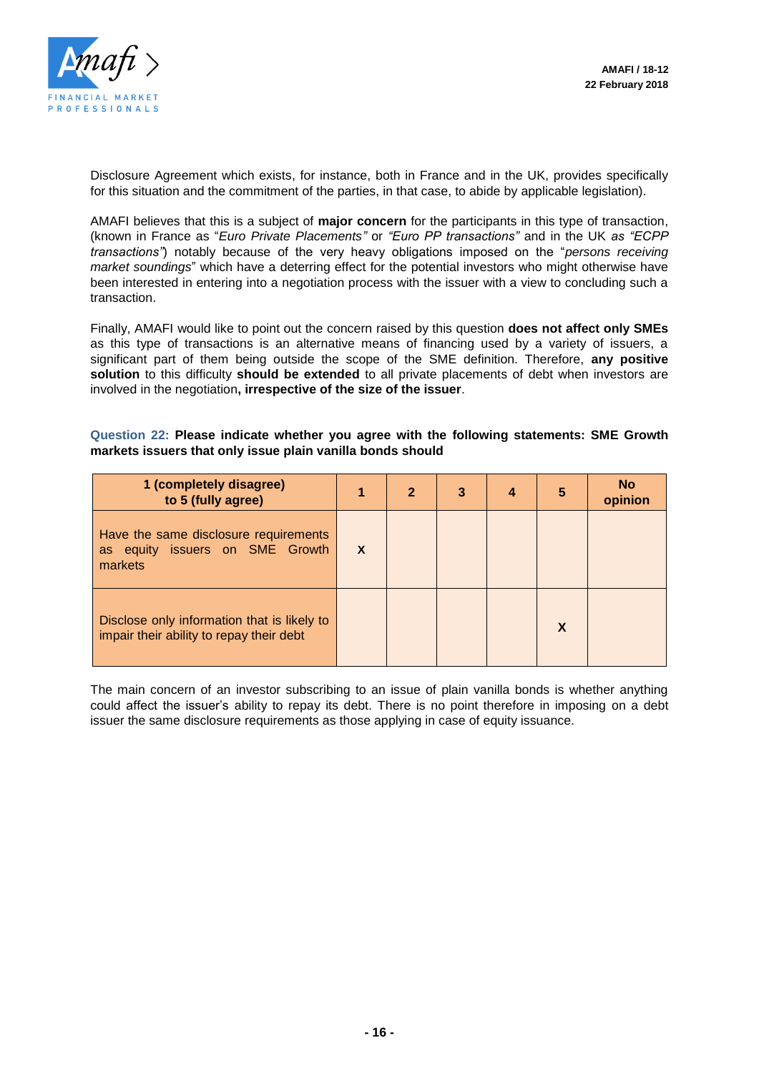

Disclosure Agreement which exists, for instance, both in France and in the UK, provides specifically for this situation and the commitment of the parties, in that case, to abide by applicable legislation).

AMAFI believes that this is a subject of **major concern** for the participants in this type of transaction, (known in France as "*Euro Private Placements"* or *"Euro PP transactions"* and in the UK *as "ECPP transactions"*) notably because of the very heavy obligations imposed on the "*persons receiving market soundings*" which have a deterring effect for the potential investors who might otherwise have been interested in entering into a negotiation process with the issuer with a view to concluding such a transaction.

Finally, AMAFI would like to point out the concern raised by this question **does not affect only SMEs** as this type of transactions is an alternative means of financing used by a variety of issuers, a significant part of them being outside the scope of the SME definition. Therefore, **any positive solution** to this difficulty **should be extended** to all private placements of debt when investors are involved in the negotiation**, irrespective of the size of the issuer**.

**Question 22: Please indicate whether you agree with the following statements: SME Growth markets issuers that only issue plain vanilla bonds should**

| 1 (completely disagree)<br>to 5 (fully agree)                                           | 1            | $\overline{2}$ | 3 | $\boldsymbol{4}$ | 5                         | <b>No</b><br>opinion |
|-----------------------------------------------------------------------------------------|--------------|----------------|---|------------------|---------------------------|----------------------|
| Have the same disclosure requirements<br>as equity issuers on SME Growth<br>markets     | $\mathsf{X}$ |                |   |                  |                           |                      |
| Disclose only information that is likely to<br>impair their ability to repay their debt |              |                |   |                  | $\boldsymbol{\mathsf{x}}$ |                      |

The main concern of an investor subscribing to an issue of plain vanilla bonds is whether anything could affect the issuer's ability to repay its debt. There is no point therefore in imposing on a debt issuer the same disclosure requirements as those applying in case of equity issuance.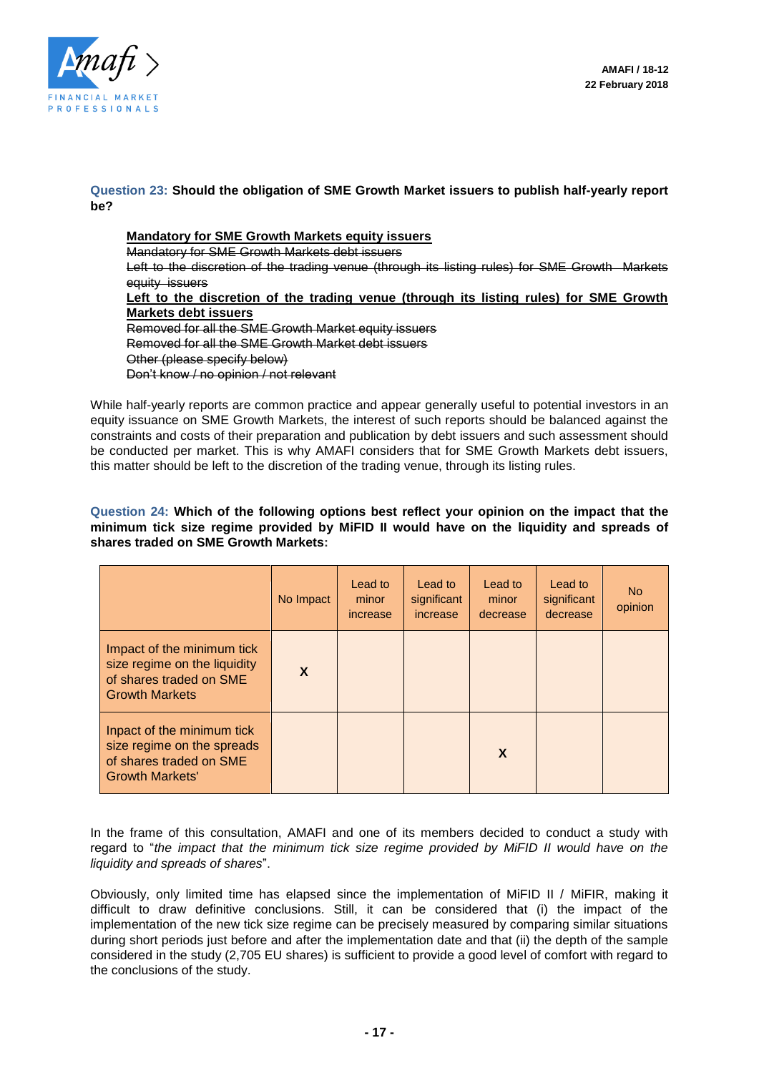

### **Question 23: Should the obligation of SME Growth Market issuers to publish half-yearly report be?**

**Mandatory for SME Growth Markets equity issuers** Mandatory for SME Growth Markets debt issuers Left to the discretion of the trading venue (through its listing rules) for SME Growth Markets equity issuers **Left to the discretion of the trading venue (through its listing rules) for SME Growth Markets debt issuers**  Removed for all the SME Growth Market equity issuers Removed for all the SME Growth Market debt issuers Other (please specify below) Don't know / no opinion / not relevant

While half-yearly reports are common practice and appear generally useful to potential investors in an equity issuance on SME Growth Markets, the interest of such reports should be balanced against the constraints and costs of their preparation and publication by debt issuers and such assessment should be conducted per market. This is why AMAFI considers that for SME Growth Markets debt issuers, this matter should be left to the discretion of the trading venue, through its listing rules.

**Question 24: Which of the following options best reflect your opinion on the impact that the minimum tick size regime provided by MiFID II would have on the liquidity and spreads of shares traded on SME Growth Markets:**

|                                                                                                                | No Impact | Lead to<br>minor<br>increase | Lead to<br>significant<br>increase | Lead to<br>minor<br>decrease | Lead to<br>significant<br>decrease | <b>No</b><br>opinion |
|----------------------------------------------------------------------------------------------------------------|-----------|------------------------------|------------------------------------|------------------------------|------------------------------------|----------------------|
| Impact of the minimum tick<br>size regime on the liquidity<br>of shares traded on SME<br><b>Growth Markets</b> | X         |                              |                                    |                              |                                    |                      |
| Inpact of the minimum tick<br>size regime on the spreads<br>of shares traded on SME<br><b>Growth Markets'</b>  |           |                              |                                    | X                            |                                    |                      |

In the frame of this consultation, AMAFI and one of its members decided to conduct a study with regard to "*the impact that the minimum tick size regime provided by MiFID II would have on the liquidity and spreads of shares*".

Obviously, only limited time has elapsed since the implementation of MiFID II / MiFIR, making it difficult to draw definitive conclusions. Still, it can be considered that (i) the impact of the implementation of the new tick size regime can be precisely measured by comparing similar situations during short periods just before and after the implementation date and that (ii) the depth of the sample considered in the study (2,705 EU shares) is sufficient to provide a good level of comfort with regard to the conclusions of the study.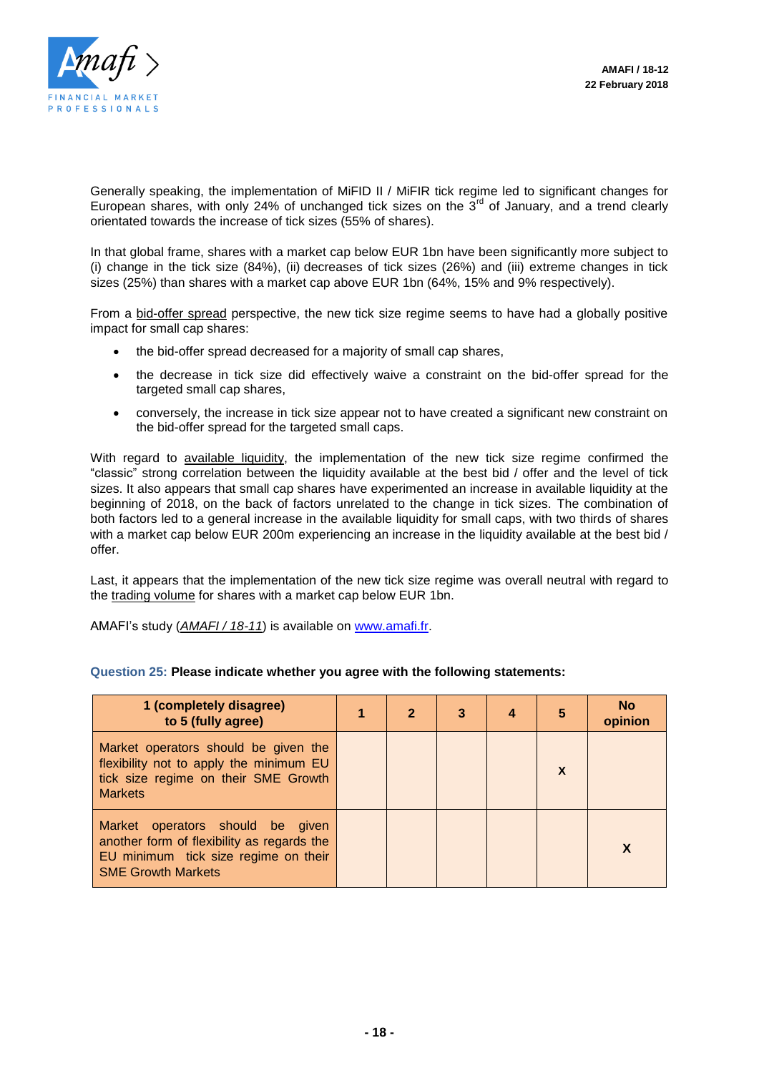



Generally speaking, the implementation of MiFID II / MiFIR tick regime led to significant changes for European shares, with only 24% of unchanged tick sizes on the  $3<sup>rd</sup>$  of January, and a trend clearly orientated towards the increase of tick sizes (55% of shares).

In that global frame, shares with a market cap below EUR 1bn have been significantly more subject to (i) change in the tick size (84%), (ii) decreases of tick sizes (26%) and (iii) extreme changes in tick sizes (25%) than shares with a market cap above EUR 1bn (64%, 15% and 9% respectively).

From a bid-offer spread perspective, the new tick size regime seems to have had a globally positive impact for small cap shares:

- the bid-offer spread decreased for a majority of small cap shares,
- the decrease in tick size did effectively waive a constraint on the bid-offer spread for the targeted small cap shares,
- conversely, the increase in tick size appear not to have created a significant new constraint on the bid-offer spread for the targeted small caps.

With regard to available liquidity, the implementation of the new tick size regime confirmed the "classic" strong correlation between the liquidity available at the best bid / offer and the level of tick sizes. It also appears that small cap shares have experimented an increase in available liquidity at the beginning of 2018, on the back of factors unrelated to the change in tick sizes. The combination of both factors led to a general increase in the available liquidity for small caps, with two thirds of shares with a market cap below EUR 200m experiencing an increase in the liquidity available at the best bid / offer.

Last, it appears that the implementation of the new tick size regime was overall neutral with regard to the trading volume for shares with a market cap below EUR 1bn.

AMAFI's study (*AMAFI / 18-11*) is available on [www.amafi.fr.](http://www.amafi.fr/)

| 1 (completely disagree)<br>to 5 (fully agree)                                                                                                       | $\mathbf{2}$ | 3 | 4 | 5 | <b>No</b><br>opinion |
|-----------------------------------------------------------------------------------------------------------------------------------------------------|--------------|---|---|---|----------------------|
| Market operators should be given the<br>flexibility not to apply the minimum EU<br>tick size regime on their SME Growth<br><b>Markets</b>           |              |   |   | X |                      |
| Market operators should be given<br>another form of flexibility as regards the<br>EU minimum tick size regime on their<br><b>SME Growth Markets</b> |              |   |   |   |                      |

### **Question 25: Please indicate whether you agree with the following statements:**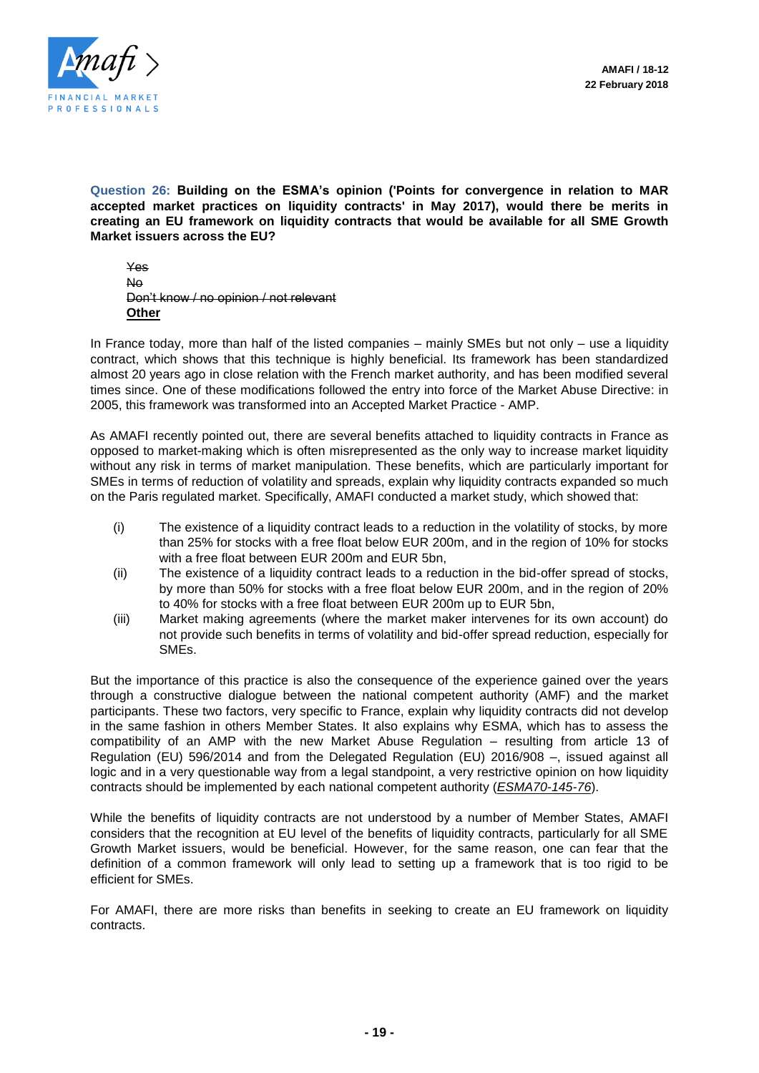

**Question 26: Building on the ESMA's opinion ('Points for convergence in relation to MAR accepted market practices on liquidity contracts' in May 2017), would there be merits in creating an EU framework on liquidity contracts that would be available for all SME Growth Market issuers across the EU?**

Yes No Don't know / no opinion / not relevant **Other**

In France today, more than half of the listed companies – mainly SMEs but not only – use a liquidity contract, which shows that this technique is highly beneficial. Its framework has been standardized almost 20 years ago in close relation with the French market authority, and has been modified several times since. One of these modifications followed the entry into force of the Market Abuse Directive: in 2005, this framework was transformed into an Accepted Market Practice - AMP.

As AMAFI recently pointed out, there are several benefits attached to liquidity contracts in France as opposed to market-making which is often misrepresented as the only way to increase market liquidity without any risk in terms of market manipulation. These benefits, which are particularly important for SMEs in terms of reduction of volatility and spreads, explain why liquidity contracts expanded so much on the Paris regulated market. Specifically, AMAFI conducted a market study, which showed that:

- (i) The existence of a liquidity contract leads to a reduction in the volatility of stocks, by more than 25% for stocks with a free float below EUR 200m, and in the region of 10% for stocks with a free float between EUR 200m and EUR 5bn,
- (ii) The existence of a liquidity contract leads to a reduction in the bid-offer spread of stocks, by more than 50% for stocks with a free float below EUR 200m, and in the region of 20% to 40% for stocks with a free float between EUR 200m up to EUR 5bn,
- (iii) Market making agreements (where the market maker intervenes for its own account) do not provide such benefits in terms of volatility and bid-offer spread reduction, especially for SMEs.

But the importance of this practice is also the consequence of the experience gained over the years through a constructive dialogue between the national competent authority (AMF) and the market participants. These two factors, very specific to France, explain why liquidity contracts did not develop in the same fashion in others Member States. It also explains why ESMA, which has to assess the compatibility of an AMP with the new Market Abuse Regulation – resulting from article 13 of Regulation (EU) 596/2014 and from the Delegated Regulation (EU) 2016/908 –, issued against all logic and in a very questionable way from a legal standpoint, a very restrictive opinion on how liquidity contracts should be implemented by each national competent authority (*ESMA70-145-76*).

While the benefits of liquidity contracts are not understood by a number of Member States, AMAFI considers that the recognition at EU level of the benefits of liquidity contracts, particularly for all SME Growth Market issuers, would be beneficial. However, for the same reason, one can fear that the definition of a common framework will only lead to setting up a framework that is too rigid to be efficient for SMEs.

For AMAFI, there are more risks than benefits in seeking to create an EU framework on liquidity contracts.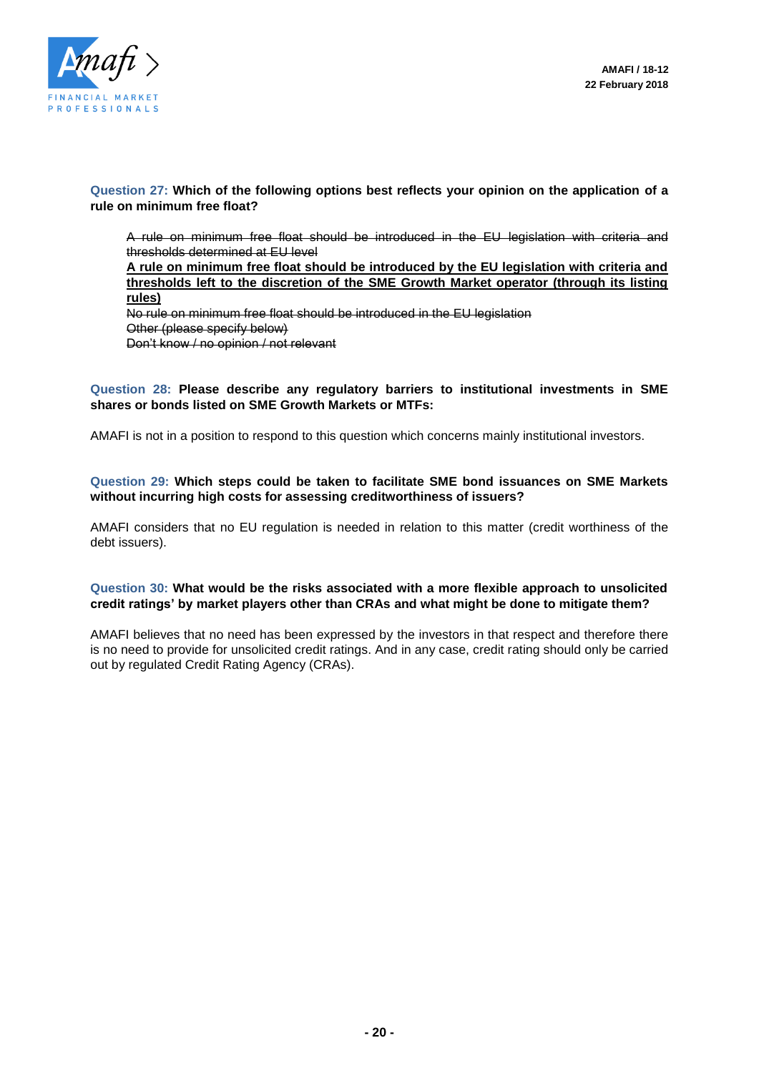

### **Question 27: Which of the following options best reflects your opinion on the application of a rule on minimum free float?**

A rule on minimum free float should be introduced in the EU legislation with criteria and thresholds determined at EU level

**A rule on minimum free float should be introduced by the EU legislation with criteria and thresholds left to the discretion of the SME Growth Market operator (through its listing rules)**

No rule on minimum free float should be introduced in the EU legislation Other (please specify below) Don't know / no opinion / not relevant

### **Question 28: Please describe any regulatory barriers to institutional investments in SME shares or bonds listed on SME Growth Markets or MTFs:**

AMAFI is not in a position to respond to this question which concerns mainly institutional investors.

# **Question 29: Which steps could be taken to facilitate SME bond issuances on SME Markets without incurring high costs for assessing creditworthiness of issuers?**

AMAFI considers that no EU regulation is needed in relation to this matter (credit worthiness of the debt issuers).

# **Question 30: What would be the risks associated with a more flexible approach to unsolicited credit ratings' by market players other than CRAs and what might be done to mitigate them?**

AMAFI believes that no need has been expressed by the investors in that respect and therefore there is no need to provide for unsolicited credit ratings. And in any case, credit rating should only be carried out by regulated Credit Rating Agency (CRAs).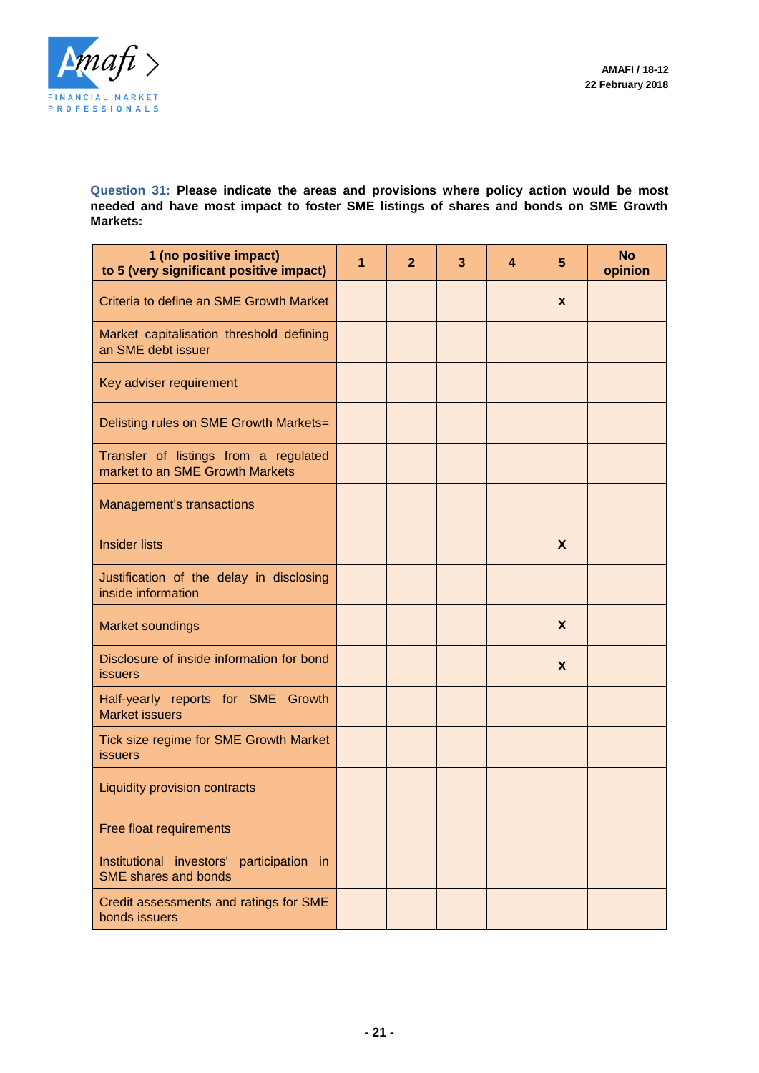

### **Question 31: Please indicate the areas and provisions where policy action would be most needed and have most impact to foster SME listings of shares and bonds on SME Growth Markets:**

| 1 (no positive impact)<br>to 5 (very significant positive impact)        | 1 | $\overline{2}$ | 3 | 4 | 5 | <b>No</b><br>opinion |
|--------------------------------------------------------------------------|---|----------------|---|---|---|----------------------|
| Criteria to define an SME Growth Market                                  |   |                |   |   | X |                      |
| Market capitalisation threshold defining<br>an SME debt issuer           |   |                |   |   |   |                      |
| Key adviser requirement                                                  |   |                |   |   |   |                      |
| Delisting rules on SME Growth Markets=                                   |   |                |   |   |   |                      |
| Transfer of listings from a regulated<br>market to an SME Growth Markets |   |                |   |   |   |                      |
| Management's transactions                                                |   |                |   |   |   |                      |
| <b>Insider lists</b>                                                     |   |                |   |   | X |                      |
| Justification of the delay in disclosing<br>inside information           |   |                |   |   |   |                      |
| <b>Market soundings</b>                                                  |   |                |   |   | X |                      |
| Disclosure of inside information for bond<br><b>issuers</b>              |   |                |   |   | X |                      |
| Half-yearly reports for SME Growth<br><b>Market issuers</b>              |   |                |   |   |   |                      |
| Tick size regime for SME Growth Market<br><b>issuers</b>                 |   |                |   |   |   |                      |
| Liquidity provision contracts                                            |   |                |   |   |   |                      |
| Free float requirements                                                  |   |                |   |   |   |                      |
| Institutional investors' participation in<br><b>SME</b> shares and bonds |   |                |   |   |   |                      |
| Credit assessments and ratings for SME<br>bonds issuers                  |   |                |   |   |   |                      |